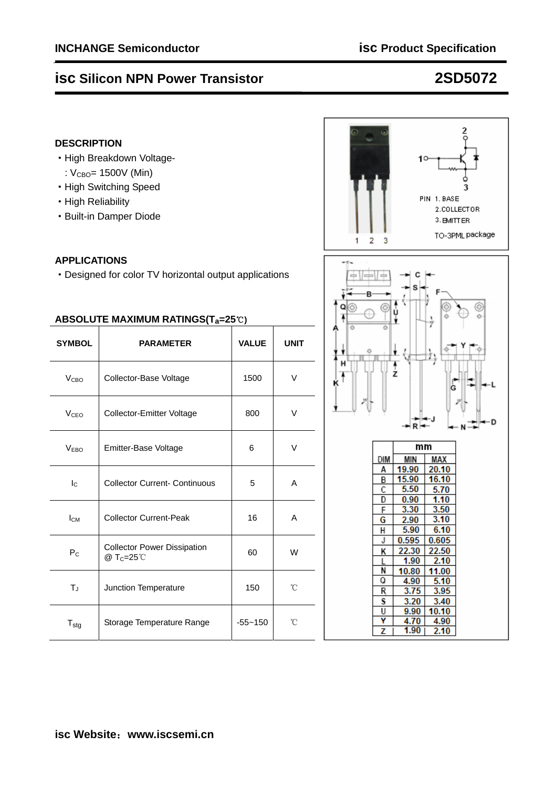# **isc Silicon NPN Power Transistor 2SD5072**

### **DESCRIPTION**

- ·High Breakdown Voltage-
	- :  $V_{\text{CBO}} = 1500V$  (Min)
- ·High Switching Speed
- ·High Reliability
- ·Built-in Damper Diode

### **APPLICATIONS**

·Designed for color TV horizontal output applications

| ABSOLUTE MAXIMUM RATINGS(T <sub>a</sub> =25℃) |                                                |              |             |  |  |  |
|-----------------------------------------------|------------------------------------------------|--------------|-------------|--|--|--|
| <b>SYMBOL</b>                                 | <b>PARAMETER</b>                               | <b>VALUE</b> | <b>UNIT</b> |  |  |  |
| V <sub>CBO</sub>                              | Collector-Base Voltage                         | 1500         |             |  |  |  |
| V <sub>CEO</sub>                              | Collector-Emitter Voltage                      | 800          | V           |  |  |  |
| V <sub>EBO</sub>                              | Emitter-Base Voltage<br>6                      |              | V           |  |  |  |
| Ιc                                            | <b>Collector Current- Continuous</b>           | 5            | A           |  |  |  |
| $I_{CM}$                                      | <b>Collector Current-Peak</b>                  | 16           | A           |  |  |  |
| P <sub>C</sub>                                | <b>Collector Power Dissipation</b><br>@ Tc=25℃ | 60           | W           |  |  |  |
| T                                             | Junction Temperature                           | 150          | °C          |  |  |  |
| $T_{\text{stg}}$                              | Storage Temperature Range                      | $-55 - 150$  | °C          |  |  |  |

# $\frac{2}{9}$  $10$ PIN 1. BASE 2.COLLECTOR 3. BMITTER TO-3PML package  $\overline{2}$ 3 1



22.30

1.90

4.90

 $3.75$ 

3.20

9.90

4.70

 $1.90$ 

10.80

K

 $\overline{N}$ 

Ō

 $\overline{R}$ 

S

U

Ÿ

z

22.50

11.00

 $5.10$ 

3.95

3.40

10.10

4.90

 $2.10$ 

 $2.10$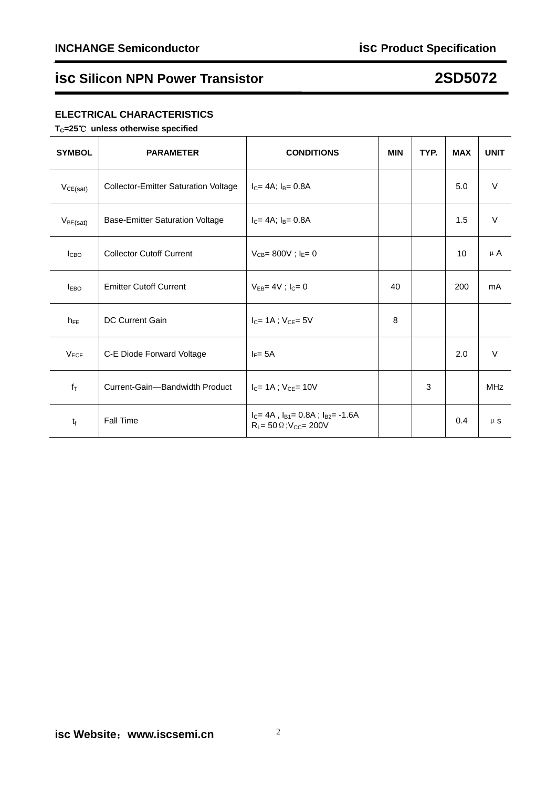## **isc Silicon NPN Power Transistor 2SD5072**

### **ELECTRICAL CHARACTERISTICS**

**TC=25**℃ **unless otherwise specified** 

| <b>SYMBOL</b>  | <b>PARAMETER</b>                            | <b>CONDITIONS</b>                                                                      | <b>MIN</b> | TYP. | <b>MAX</b>      | <b>UNIT</b> |
|----------------|---------------------------------------------|----------------------------------------------------------------------------------------|------------|------|-----------------|-------------|
| VCE(sat)       | <b>Collector-Emitter Saturation Voltage</b> | $I_C = 4A$ ; $I_B = 0.8A$                                                              |            |      | 5.0             | $\vee$      |
| $V_{BE(sat)}$  | <b>Base-Emitter Saturation Voltage</b>      | $I_C = 4A$ ; $I_B = 0.8A$                                                              |            |      | 1.5             | $\vee$      |
| <b>I</b> CBO   | <b>Collector Cutoff Current</b>             | $V_{CB} = 800V$ ; $I_E = 0$                                                            |            |      | 10 <sup>°</sup> | $\mu$ A     |
| $I_{EBO}$      | <b>Emitter Cutoff Current</b>               | $V_{EB} = 4V$ ; $I_C = 0$                                                              | 40         |      | 200             | mA          |
| $h_{FE}$       | <b>DC Current Gain</b>                      | $I_{C}$ = 1A ; $V_{CE}$ = 5V                                                           | 8          |      |                 |             |
| $V_{ECF}$      | C-E Diode Forward Voltage                   | $I_F = 5A$                                                                             |            |      | 2.0             | $\vee$      |
| $f_{\text{T}}$ | Current-Gain-Bandwidth Product              | $I_{C} = 1A$ ; $V_{C} = 10V$                                                           |            | 3    |                 | <b>MHz</b>  |
| $t_f$          | <b>Fall Time</b>                            | $I_C = 4A$ , $I_{B1} = 0.8A$ ; $I_{B2} = -1.6A$<br>$R_L = 50 \Omega$ ; $V_{CC} = 200V$ |            |      | 0.4             | $\mu$ s     |